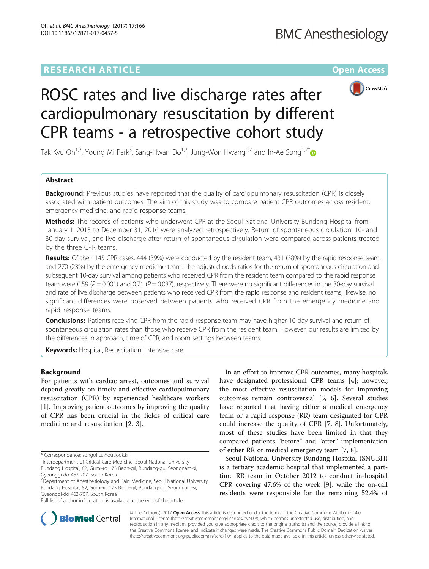## **RESEARCH ARTICLE External Structure Community Community Community Community Community Community Community Community**



# ROSC rates and live discharge rates after cardiopulmonary resuscitation by different CPR teams - a retrospective cohort study

Tak Kyu Oh<sup>1,2</sup>, Young Mi Park<sup>3</sup>, Sang-Hwan Do<sup>1,2</sup>, Jung-Won Hwang<sup>1,2</sup> and In-Ae Song<sup>1,2[\\*](http://orcid.org/0000-0002-7814-4253)</sup>

## Abstract

**Background:** Previous studies have reported that the quality of cardiopulmonary resuscitation (CPR) is closely associated with patient outcomes. The aim of this study was to compare patient CPR outcomes across resident, emergency medicine, and rapid response teams.

**Methods:** The records of patients who underwent CPR at the Seoul National University Bundang Hospital from January 1, 2013 to December 31, 2016 were analyzed retrospectively. Return of spontaneous circulation, 10- and 30-day survival, and live discharge after return of spontaneous circulation were compared across patients treated by the three CPR teams.

Results: Of the 1145 CPR cases, 444 (39%) were conducted by the resident team, 431 (38%) by the rapid response team, and 270 (23%) by the emergency medicine team. The adjusted odds ratios for the return of spontaneous circulation and subsequent 10-day survival among patients who received CPR from the resident team compared to the rapid response team were 0.59 ( $P = 0.001$ ) and 0.71 ( $P = 0.037$ ), respectively. There were no significant differences in the 30-day survival and rate of live discharge between patients who received CPR from the rapid response and resident teams; likewise, no significant differences were observed between patients who received CPR from the emergency medicine and rapid response teams.

Conclusions: Patients receiving CPR from the rapid response team may have higher 10-day survival and return of spontaneous circulation rates than those who receive CPR from the resident team. However, our results are limited by the differences in approach, time of CPR, and room settings between teams.

Keywords: Hospital, Resuscitation, Intensive care

## Background

For patients with cardiac arrest, outcomes and survival depend greatly on timely and effective cardiopulmonary resuscitation (CPR) by experienced healthcare workers [[1\]](#page-7-0). Improving patient outcomes by improving the quality of CPR has been crucial in the fields of critical care medicine and resuscitation [[2, 3\]](#page-7-0).

Full list of author information is available at the end of the article

In an effort to improve CPR outcomes, many hospitals have designated professional CPR teams [\[4](#page-7-0)]; however, the most effective resuscitation models for improving outcomes remain controversial [\[5](#page-7-0), [6](#page-7-0)]. Several studies have reported that having either a medical emergency team or a rapid response (RR) team designated for CPR could increase the quality of CPR [\[7](#page-7-0), [8](#page-8-0)]. Unfortunately, most of these studies have been limited in that they compared patients "before" and "after" implementation of either RR or medical emergency team [[7,](#page-7-0) [8\]](#page-8-0).

Seoul National University Bundang Hospital (SNUBH) is a tertiary academic hospital that implemented a parttime RR team in October 2012 to conduct in-hospital CPR covering 47.6% of the week [[9](#page-8-0)], while the on-call residents were responsible for the remaining 52.4% of



© The Author(s). 2017 **Open Access** This article is distributed under the terms of the Creative Commons Attribution 4.0 International License [\(http://creativecommons.org/licenses/by/4.0/](http://creativecommons.org/licenses/by/4.0/)), which permits unrestricted use, distribution, and reproduction in any medium, provided you give appropriate credit to the original author(s) and the source, provide a link to the Creative Commons license, and indicate if changes were made. The Creative Commons Public Domain Dedication waiver [\(http://creativecommons.org/publicdomain/zero/1.0/](http://creativecommons.org/publicdomain/zero/1.0/)) applies to the data made available in this article, unless otherwise stated.

<sup>\*</sup> Correspondence: [songoficu@outlook.kr](mailto:songoficu@outlook.kr) <sup>1</sup>

<sup>&</sup>lt;sup>1</sup>Interdepartment of Critical Care Medicine, Seoul National University Bundang Hospital, 82, Gumi-ro 173 Beon-gil, Bundang-gu, Seongnam-si, Gyeonggi-do 463-707, South Korea

<sup>&</sup>lt;sup>2</sup>Department of Anesthesiology and Pain Medicine, Seoul National University Bundang Hospital, 82, Gumi-ro 173 Beon-gil, Bundang-gu, Seongnam-si, Gyeonggi-do 463-707, South Korea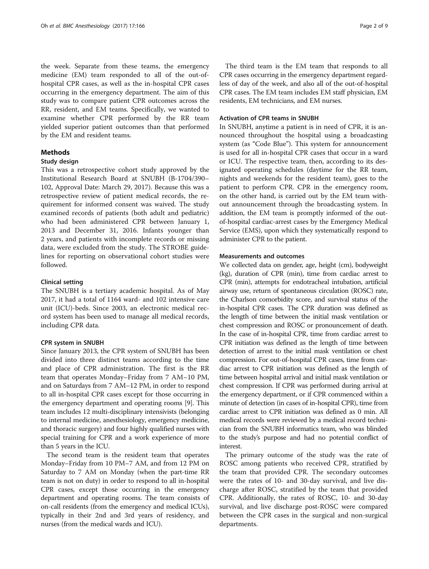the week. Separate from these teams, the emergency medicine (EM) team responded to all of the out-ofhospital CPR cases, as well as the in-hospital CPR cases occurring in the emergency department. The aim of this study was to compare patient CPR outcomes across the RR, resident, and EM teams. Specifically, we wanted to examine whether CPR performed by the RR team yielded superior patient outcomes than that performed by the EM and resident teams.

## Methods

## Study design

This was a retrospective cohort study approved by the Institutional Research Board at SNUBH (B-1704/390– 102, Approval Date: March 29, 2017). Because this was a retrospective review of patient medical records, the requirement for informed consent was waived. The study examined records of patients (both adult and pediatric) who had been administered CPR between January 1, 2013 and December 31, 2016. Infants younger than 2 years, and patients with incomplete records or missing data, were excluded from the study. The STROBE guidelines for reporting on observational cohort studies were followed.

## Clinical setting

The SNUBH is a tertiary academic hospital. As of May 2017, it had a total of 1164 ward- and 102 intensive care unit (ICU)-beds. Since 2003, an electronic medical record system has been used to manage all medical records, including CPR data.

#### CPR system in SNUBH

Since January 2013, the CPR system of SNUBH has been divided into three distinct teams according to the time and place of CPR administration. The first is the RR team that operates Monday–Friday from 7 AM–10 PM, and on Saturdays from 7 AM–12 PM, in order to respond to all in-hospital CPR cases except for those occurring in the emergency department and operating rooms [\[9](#page-8-0)]. This team includes 12 multi-disciplinary intensivists (belonging to internal medicine, anesthesiology, emergency medicine, and thoracic surgery) and four highly qualified nurses with special training for CPR and a work experience of more than 5 years in the ICU.

The second team is the resident team that operates Monday–Friday from 10 PM–7 AM, and from 12 PM on Saturday to 7 AM on Monday (when the part-time RR team is not on duty) in order to respond to all in-hospital CPR cases, except those occurring in the emergency department and operating rooms. The team consists of on-call residents (from the emergency and medical ICUs), typically in their 2nd and 3rd years of residency, and nurses (from the medical wards and ICU).

The third team is the EM team that responds to all CPR cases occurring in the emergency department regardless of day of the week, and also all of the out-of-hospital CPR cases. The EM team includes EM staff physician, EM residents, EM technicians, and EM nurses.

## Activation of CPR teams in SNUBH

In SNUBH, anytime a patient is in need of CPR, it is announced throughout the hospital using a broadcasting system (as "Code Blue"). This system for announcement is used for all in-hospital CPR cases that occur in a ward or ICU. The respective team, then, according to its designated operating schedules (daytime for the RR team, nights and weekends for the resident team), goes to the patient to perform CPR. CPR in the emergency room, on the other hand, is carried out by the EM team without announcement through the broadcasting system. In addition, the EM team is promptly informed of the outof-hospital cardiac-arrest cases by the Emergency Medical Service (EMS), upon which they systematically respond to administer CPR to the patient.

## Measurements and outcomes

We collected data on gender, age, height (cm), bodyweight (kg), duration of CPR (min), time from cardiac arrest to CPR (min), attempts for endotracheal intubation, artificial airway use, return of spontaneous circulation (ROSC) rate, the Charlson comorbidity score, and survival status of the in-hospital CPR cases. The CPR duration was defined as the length of time between the initial mask ventilation or chest compression and ROSC or pronouncement of death. In the case of in-hospital CPR, time from cardiac arrest to CPR initiation was defined as the length of time between detection of arrest to the initial mask ventilation or chest compression. For out-of-hospital CPR cases, time from cardiac arrest to CPR initiation was defined as the length of time between hospital arrival and initial mask ventilation or chest compression. If CPR was performed during arrival at the emergency department, or if CPR commenced within a minute of detection (in cases of in-hospital CPR), time from cardiac arrest to CPR initiation was defined as 0 min. All medical records were reviewed by a medical record technician from the SNUBH informatics team, who was blinded to the study's purpose and had no potential conflict of interest.

The primary outcome of the study was the rate of ROSC among patients who received CPR, stratified by the team that provided CPR. The secondary outcomes were the rates of 10- and 30-day survival, and live discharge after ROSC, stratified by the team that provided CPR. Additionally, the rates of ROSC, 10- and 30-day survival, and live discharge post-ROSC were compared between the CPR cases in the surgical and non-surgical departments.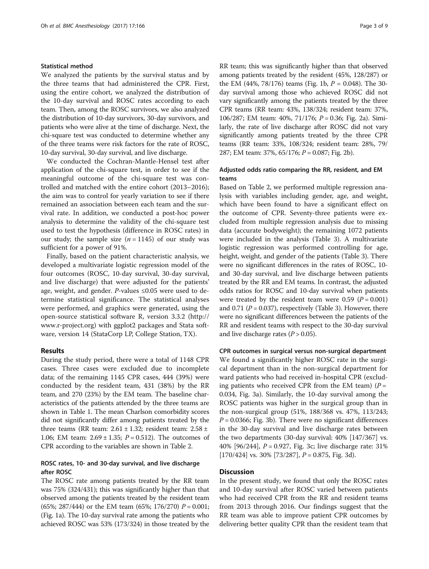## Statistical method

We analyzed the patients by the survival status and by the three teams that had administered the CPR. First, using the entire cohort, we analyzed the distribution of the 10-day survival and ROSC rates according to each team. Then, among the ROSC survivors, we also analyzed the distribution of 10-day survivors, 30-day survivors, and patients who were alive at the time of discharge. Next, the chi-square test was conducted to determine whether any of the three teams were risk factors for the rate of ROSC, 10-day survival, 30-day survival, and live discharge.

We conducted the Cochran-Mantle-Hensel test after application of the chi-square test, in order to see if the meaningful outcome of the chi-square test was controlled and matched with the entire cohort (2013–2016); the aim was to control for yearly variation to see if there remained an association between each team and the survival rate. In addition, we conducted a post-hoc power analysis to determine the validity of the chi-square test used to test the hypothesis (difference in ROSC rates) in our study; the sample size  $(n = 1145)$  of our study was sufficient for a power of 91%.

Finally, based on the patient characteristic analysis, we developed a multivariate logistic regression model of the four outcomes (ROSC, 10-day survival, 30-day survival, and live discharge) that were adjusted for the patients' age, weight, and gender. P-values  $\leq 0.05$  were used to determine statistical significance. The statistical analyses were performed, and graphics were generated, using the open-source statistical software R, version 3.3.2 [\(http://](http://www.r-project.org) [www.r-project.org\)](http://www.r-project.org) with ggplot2 packages and Stata software, version 14 (StataCorp LP, College Station, TX).

## Results

During the study period, there were a total of 1148 CPR cases. Three cases were excluded due to incomplete data; of the remaining 1145 CPR cases, 444 (39%) were conducted by the resident team, 431 (38%) by the RR team, and 270 (23%) by the EM team. The baseline characteristics of the patients attended by the three teams are shown in Table [1](#page-3-0). The mean Charlson comorbidity scores did not significantly differ among patients treated by the three teams (RR team:  $2.61 \pm 1.32$ ; resident team:  $2.58 \pm 1.32$ 1.06; EM team:  $2.69 \pm 1.35$ ;  $P = 0.512$ ). The outcomes of CPR according to the variables are shown in Table [2](#page-4-0).

## ROSC rates, 10- and 30-day survival, and live discharge after ROSC

The ROSC rate among patients treated by the RR team was 75% (324/431); this was significantly higher than that observed among the patients treated by the resident team (65%; 287/444) or the EM team (65%; 176/270)  $P = 0.001$ ; (Fig. [1a\)](#page-5-0). The 10-day survival rate among the patients who achieved ROSC was 53% (173/324) in those treated by the RR team; this was significantly higher than that observed among patients treated by the resident (45%, 128/287) or the EM (44%, 78/176) teams (Fig. [1b,](#page-5-0)  $P = 0.048$ ). The 30day survival among those who achieved ROSC did not vary significantly among the patients treated by the three CPR teams (RR team: 43%, 138/324; resident team: 37%, 106/287; EM team: 40%, 71/176; P = 0.36; Fig. [2a\)](#page-5-0). Similarly, the rate of live discharge after ROSC did not vary significantly among patients treated by the three CPR teams (RR team: 33%, 108/324; resident team: 28%, 79/ 287; EM team: 37%, 65/176;  $P = 0.087$ ; Fig. [2b\)](#page-5-0).

## Adjusted odds ratio comparing the RR, resident, and EM teams

Based on Table [2,](#page-4-0) we performed multiple regression analysis with variables including gender, age, and weight, which have been found to have a significant effect on the outcome of CPR. Seventy-three patients were excluded from multiple regression analysis due to missing data (accurate bodyweight); the remaining 1072 patients were included in the analysis (Table [3](#page-6-0)). A multivariate logistic regression was performed controlling for age, height, weight, and gender of the patients (Table [3\)](#page-6-0). There were no significant differences in the rates of ROSC, 10 and 30-day survival, and live discharge between patients treated by the RR and EM teams. In contrast, the adjusted odds ratios for ROSC and 10-day survival when patients were treated by the resident team were 0.59 ( $P = 0.001$ ) and 0.71 ( $P = 0.037$ ), respectively (Table [3](#page-6-0)). However, there were no significant differences between the patients of the RR and resident teams with respect to the 30-day survival and live discharge rates  $(P > 0.05)$ .

## CPR outcomes in surgical versus non-surgical department We found a significantly higher ROSC rate in the surgi-

cal department than in the non-surgical department for ward patients who had received in-hospital CPR (excluding patients who received CPR from the EM team)  $(P =$ 0.034, Fig. [3a\)](#page-6-0). Similarly, the 10-day survival among the ROSC patients was higher in the surgical group than in the non-surgical group (51%, 188/368 vs. 47%, 113/243;  $P = 0.0366$ ; Fig. [3b\)](#page-6-0). There were no significant differences in the 30-day survival and live discharge rates between the two departments (30-day survival: 40% [147/367] vs. 40% [96/244], P = 0.927, Fig. [3c](#page-6-0); live discharge rate: 31% [170/424] vs. 30% [73/287],  $P = 0.875$ , Fig. [3d](#page-6-0)).

## **Discussion**

In the present study, we found that only the ROSC rates and 10-day survival after ROSC varied between patients who had received CPR from the RR and resident teams from 2013 through 2016. Our findings suggest that the RR team was able to improve patient CPR outcomes by delivering better quality CPR than the resident team that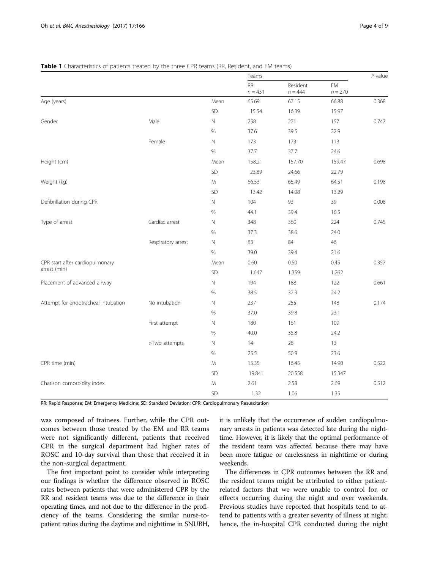|                                     |                    |            | Teams           |                       |                 | $P$ -value |
|-------------------------------------|--------------------|------------|-----------------|-----------------------|-----------------|------------|
|                                     |                    |            | RR<br>$n = 431$ | Resident<br>$n = 444$ | EM<br>$n = 270$ |            |
| Age (years)                         |                    | Mean       | 65.69           | 67.15                 | 66.88           | 0.368      |
|                                     |                    | SD         | 15.54           | 16.39                 | 15.97           |            |
| Gender                              | Male               | N          | 258             | 271                   | 157             | 0.747      |
|                                     |                    | %          | 37.6            | 39.5                  | 22.9            |            |
|                                     | Female             | $\hbox{N}$ | 173             | 173                   | 113             |            |
|                                     |                    | %          | 37.7            | 37.7                  | 24.6            |            |
| Height (cm)                         |                    | Mean       | 158.21          | 157.70                | 159.47          | 0.698      |
|                                     |                    | SD         | 23.89           | 24.66                 | 22.79           |            |
| Weight (kg)                         |                    | M          | 66.53           | 65.49                 | 64.51           | 0.198      |
|                                     |                    | SD         | 13.42           | 14.08                 | 13.29           |            |
| Defibrillation during CPR           |                    | N          | 104             | 93                    | 39              | 0.008      |
|                                     |                    | $\%$       | 44.1            | 39.4                  | 16.5            |            |
| Type of arrest                      | Cardiac arrest     | N          | 348             | 360                   | 224             | 0.745      |
|                                     |                    | $\%$       | 37.3            | 38.6                  | 24.0            |            |
|                                     | Respiratory arrest | N          | 83              | 84                    | 46              |            |
|                                     |                    | $\%$       | 39.0            | 39.4                  | 21.6            |            |
| CPR start after cardiopulmonary     |                    | Mean       | 0.60            | 0.50                  | 0.45            | 0.357      |
| arrest (min)                        |                    | SD         | 1.647           | 1.359                 | 1.262           |            |
| Placement of advanced airway        |                    | $\hbox{N}$ | 194             | 188                   | 122             | 0.661      |
|                                     |                    | %          | 38.5            | 37.3                  | 24.2            |            |
| Attempt for endotracheal intubation | No intubation      | $\hbox{N}$ | 237             | 255                   | 148             | 0.174      |
|                                     |                    | $\%$       | 37.0            | 39.8                  | 23.1            |            |
|                                     | First attempt      | N          | 180             | 161                   | 109             |            |
|                                     |                    | $\%$       | 40.0            | 35.8                  | 24.2            |            |
|                                     | >Two attempts      | $\hbox{N}$ | 14              | 28                    | 13              |            |
|                                     |                    | $\%$       | 25.5            | 50.9                  | 23.6            |            |
| CPR time (min)                      |                    | M          | 15.35           | 16.45                 | 14.90           | 0.522      |
|                                     |                    | SD         | 19.841          | 20.558                | 15.347          |            |
| Charlson comorbidity index          |                    | M          | 2.61            | 2.58                  | 2.69            | 0.512      |
|                                     |                    | SD         | 1.32            | 1.06                  | 1.35            |            |

## <span id="page-3-0"></span>Table 1 Characteristics of patients treated by the three CPR teams (RR, Resident, and EM teams)

RR: Rapid Response; EM: Emergency Medicine; SD: Standard Deviation; CPR: Cardiopulmonary Resuscitation

was composed of trainees. Further, while the CPR outcomes between those treated by the EM and RR teams were not significantly different, patients that received CPR in the surgical department had higher rates of ROSC and 10-day survival than those that received it in the non-surgical department.

The first important point to consider while interpreting our findings is whether the difference observed in ROSC rates between patients that were administered CPR by the RR and resident teams was due to the difference in their operating times, and not due to the difference in the proficiency of the teams. Considering the similar nurse-topatient ratios during the daytime and nighttime in SNUBH,

it is unlikely that the occurrence of sudden cardiopulmonary arrests in patients was detected late during the nighttime. However, it is likely that the optimal performance of the resident team was affected because there may have been more fatigue or carelessness in nighttime or during weekends.

The differences in CPR outcomes between the RR and the resident teams might be attributed to either patientrelated factors that we were unable to control for, or effects occurring during the night and over weekends. Previous studies have reported that hospitals tend to attend to patients with a greater severity of illness at night; hence, the in-hospital CPR conducted during the night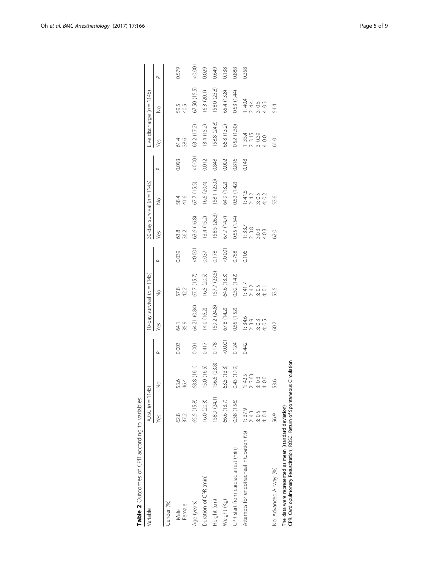<span id="page-4-0"></span>

| Table 2 Outcomes of CPR according to variables                                                                                        |                          |                                                |                          |                                                                               |                                                      |          |                                                 |                                                                                                                                                                                                                                                                                                                                                      |          |                                       |                                             |          |
|---------------------------------------------------------------------------------------------------------------------------------------|--------------------------|------------------------------------------------|--------------------------|-------------------------------------------------------------------------------|------------------------------------------------------|----------|-------------------------------------------------|------------------------------------------------------------------------------------------------------------------------------------------------------------------------------------------------------------------------------------------------------------------------------------------------------------------------------------------------------|----------|---------------------------------------|---------------------------------------------|----------|
| Variable                                                                                                                              | ROSC $(n = 1145)$        |                                                |                          | 10-day survival (n = 1145)                                                    |                                                      |          | 30-day survival $(n = 1145)$                    |                                                                                                                                                                                                                                                                                                                                                      |          | Live discharge (n = 1145)             |                                             |          |
|                                                                                                                                       | Yes                      | $\frac{1}{2}$                                  | $\overline{\phantom{a}}$ | Yes                                                                           | $\frac{1}{2}$                                        | $\sigma$ | Yes                                             | $\frac{1}{2}$                                                                                                                                                                                                                                                                                                                                        | $\sigma$ | Yes                                   | $\frac{1}{2}$                               | $\sigma$ |
| Gender (%)                                                                                                                            |                          |                                                |                          |                                                                               |                                                      |          |                                                 |                                                                                                                                                                                                                                                                                                                                                      |          |                                       |                                             |          |
| Female<br>Male                                                                                                                        | 62.8<br>37.2             | 53.6<br>46.4                                   | 0.003                    | 64.1<br>35.9                                                                  | 57.8<br>42.2                                         | 0.039    | 63.8<br>36.2                                    | 58.4<br>41.6                                                                                                                                                                                                                                                                                                                                         | 0.093    | 61.4<br>38.6                          | 59.5<br>40.5                                | 0.579    |
| Age (years)                                                                                                                           | 65.5 (15.8)              | 58.8 (16.1)                                    | 0.001                    | 64.21 (0.84)                                                                  | 67.7(15.7)                                           | 0.001    | 63.6 (16.8)                                     | 67.7 (15.5)                                                                                                                                                                                                                                                                                                                                          | 0.001    | 63.2 (17.2)                           | 67.50 (15.5)                                | 0.001    |
| Duration of CPR (min)                                                                                                                 | 16.0(20.3)               | 5.0 (16.5)                                     | 0.417                    | 14.0 (16.2)                                                                   | 16.5 (20.5)                                          | 0.037    | 13.4(15.2)                                      | 16.6 (20.4)                                                                                                                                                                                                                                                                                                                                          | 0.012    | 13.4(15.2)                            | 16.3 (20.1)                                 | 0.029    |
| Height (cm)                                                                                                                           | 158.9 (24.1)             | 56.6 (23.8)                                    | 0.178                    | 159.2 (24.8)                                                                  | 157.7 (23.5)                                         | 0.178    | 158.5 (26.3)                                    | 158.1 (23.0)                                                                                                                                                                                                                                                                                                                                         | 0.848    | 158.8 (24.8)                          | 158.0 (23.8)                                | 0.649    |
| Weight (Kg)                                                                                                                           | 66.6 (13.7)              | 63.5 (13.3)                                    | 0.001                    | 67.8 (14.2)                                                                   | 64.6 (13.3)                                          | 0.0001   | 67.7(14.7)                                      | 64.9 (13.2)                                                                                                                                                                                                                                                                                                                                          | 0.002    | 66.8 (13.2)                           | 65.4 (13.8)                                 | 0.138    |
| CPR start from cardiac arrest (min)                                                                                                   | 0.58 (1.56)              | 0.11 (1.19)                                    | 0.124                    | 0.55 (1.52)                                                                   | 0.52(1.42)                                           | 0.758    | 0.55 (1.54)                                     | 0.52(1.42)                                                                                                                                                                                                                                                                                                                                           | 0.816    | 0.52(1.50)                            | 0.53 (1.44)                                 | 0.888    |
| Attempts for endotracheal intubation (%)                                                                                              | 1:37.9<br>3:0.5<br>4:0.4 | $1: 42.5$<br>$2: 3.63$<br>$3: 0.0$<br>$4: 0.0$ | 0.442                    | $\frac{1}{1}$ : 34,6<br>$\frac{3}{3}$ ,9<br>$\frac{3}{3}$ ,9<br>$\frac{3}{4}$ | $\frac{1}{2}$ : 41.7<br>$\frac{2}{3}$ : 0.5<br>4:0.1 | 0.106    | $\frac{1}{1}$ : 33.7<br>2.3.8<br>4.0.3<br>4.0.3 | $\frac{1}{2}$<br>$\frac{1}{2}$<br>$\frac{4}{3}$<br>$\frac{1}{2}$<br>$\frac{1}{2}$<br>$\frac{1}{2}$<br>$\frac{1}{2}$<br>$\frac{1}{2}$<br>$\frac{1}{2}$<br>$\frac{1}{2}$<br>$\frac{1}{2}$<br>$\frac{1}{2}$<br>$\frac{1}{2}$<br>$\frac{1}{2}$<br>$\frac{1}{2}$<br>$\frac{1}{2}$<br>$\frac{1}{2}$<br>$\frac{1}{2}$<br>$\frac{1}{2}$<br>$\frac{1}{2}$<br> | 0.148    | 1: 35.4<br>2: 3.15<br>3: 0.39<br>4:00 | $1.794$<br>$4.4003$<br>$4.4003$<br>$4.4003$ | 0.358    |
| No. Advanced Airway (%)                                                                                                               | 56.9                     | 53.6                                           |                          | 60.7                                                                          | 53.5                                                 |          | 62.0                                            | 53.6                                                                                                                                                                                                                                                                                                                                                 |          | 61.0                                  | 544                                         |          |
| CPR: Cardiopulmonary Resuscitation; ROSC: Return of Spontaneous Circulation<br>The data were represented as mean (standard deviation) |                          |                                                |                          |                                                                               |                                                      |          |                                                 |                                                                                                                                                                                                                                                                                                                                                      |          |                                       |                                             |          |

**Table 2** Outcomes of CPR according to variables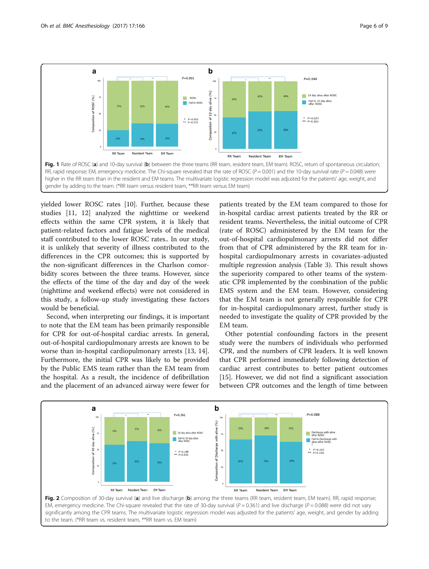<span id="page-5-0"></span>

yielded lower ROSC rates [[10](#page-8-0)]. Further, because these studies [[11](#page-8-0), [12\]](#page-8-0) analyzed the nighttime or weekend effects within the same CPR system, it is likely that patient-related factors and fatigue levels of the medical staff contributed to the lower ROSC rates.. In our study, it is unlikely that severity of illness contributed to the differences in the CPR outcomes; this is supported by the non-significant differences in the Charlson comorbidity scores between the three teams. However, since the effects of the time of the day and day of the week (nighttime and weekend effects) were not considered in this study, a follow-up study investigating these factors would be beneficial.

Second, when interpreting our findings, it is important to note that the EM team has been primarily responsible for CPR for out-of-hospital cardiac arrests. In general, out-of-hospital cardiopulmonary arrests are known to be worse than in-hospital cardiopulmonary arrests [[13, 14](#page-8-0)]. Furthermore, the initial CPR was likely to be provided by the Public EMS team rather than the EM team from the hospital. As a result, the incidence of defibrillation and the placement of an advanced airway were fewer for

to the team. (\*RR team vs. resident team, \*\*RR team vs. EM team)

patients treated by the EM team compared to those for in-hospital cardiac arrest patients treated by the RR or resident teams. Nevertheless, the initial outcome of CPR (rate of ROSC) administered by the EM team for the out-of-hospital cardiopulmonary arrests did not differ from that of CPR administered by the RR team for inhospital cardiopulmonary arrests in covariates-adjusted multiple regression analysis (Table [3](#page-6-0)). This result shows the superiority compared to other teams of the systematic CPR implemented by the combination of the public EMS system and the EM team. However, considering that the EM team is not generally responsible for CPR for in-hospital cardiopulmonary arrest, further study is needed to investigate the quality of CPR provided by the EM team.

Other potential confounding factors in the present study were the numbers of individuals who performed CPR, and the numbers of CPR leaders. It is well known that CPR performed immediately following detection of cardiac arrest contributes to better patient outcomes [[15\]](#page-8-0). However, we did not find a significant association between CPR outcomes and the length of time between

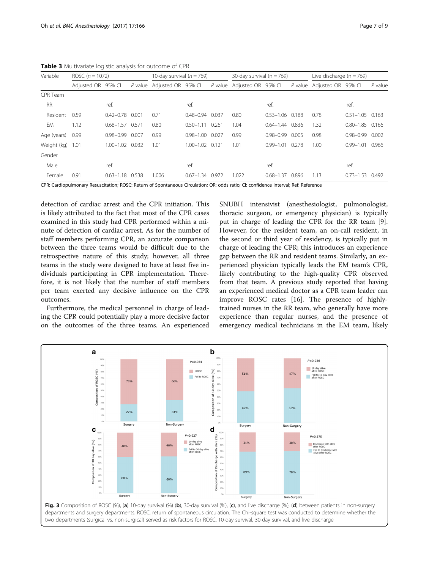<span id="page-6-0"></span>Table 3 Multivariate logistic analysis for outcome of CPR

| Variable    | ROSC $(n = 1072)$  |                     | 10-day survival ( $n = 769$ ) |                    |                     | 30-day survival ( $n = 769$ ) |             |                     | Live discharge $(n = 769)$ |                            |                       |           |
|-------------|--------------------|---------------------|-------------------------------|--------------------|---------------------|-------------------------------|-------------|---------------------|----------------------------|----------------------------|-----------------------|-----------|
|             | Adjusted OR 95% CI |                     | P value                       | Adjusted OR 95% CI |                     | $P$ value                     | Adjusted OR | 95% CI              |                            | P value Adjusted OR 95% CI |                       | $P$ value |
| CPR Team    |                    |                     |                               |                    |                     |                               |             |                     |                            |                            |                       |           |
| <b>RR</b>   |                    | ref.                |                               |                    | ref.                |                               |             | ref.                |                            |                            | ref.                  |           |
| Resident    | 0.59               | $0.42 - 0.78$ 0.001 |                               | 0.71               | $0.48 - 0.94$       | 0.037                         | 0.80        | $0.53 - 1.06$ 0.188 |                            | 0.78                       | $0.51 - 1.05$ 0.163   |           |
| EM          | 1.12               | $0.68 - 1.57$       | 0.571                         | 0.80               | $0.50 - 1.11$       | 0.261                         | 1.04        | $0.64 - 1.44$       | 0.836                      | 1.32                       | $0.80 - 1.85$ 0.166   |           |
| Age (years) | 0.99               | $0.98 - 0.99$       | 0.007                         | 0.99               | $0.98 - 1.00$       | 0.027                         | 0.99        | $0.98 - 0.99$ 0.005 |                            | 0.98                       | $0.98 - 0.99$ $0.002$ |           |
| Weight (kg) | 1.01               | 1.00-1.02 0.032     |                               | 1.01               | $1.00 - 1.02$       | 0.121                         | 1.01        | $0.99 - 1.01$       | 0.278                      | 1.00                       | $0.99 - 1.01$ 0.966   |           |
| Gender      |                    |                     |                               |                    |                     |                               |             |                     |                            |                            |                       |           |
| Male        |                    | ref.                |                               |                    | ref.                |                               |             | ref.                |                            |                            | ref.                  |           |
| Female      | 0.91               | $0.63 - 1.18$ 0.538 |                               | 1.006              | $0.67 - 1.34$ 0.972 |                               | 1.022       | $0.68 - 1.37$       | 0.896                      | 1.13                       | $0.73 - 1.53$ 0.492   |           |

CPR: Cardiopulmonary Resuscitation; ROSC: Return of Spontaneous Circulation; OR: odds ratio; CI: confidence interval; Ref: Reference

detection of cardiac arrest and the CPR initiation. This is likely attributed to the fact that most of the CPR cases examined in this study had CPR performed within a minute of detection of cardiac arrest. As for the number of staff members performing CPR, an accurate comparison between the three teams would be difficult due to the retrospective nature of this study; however, all three teams in the study were designed to have at least five individuals participating in CPR implementation. Therefore, it is not likely that the number of staff members per team exerted any decisive influence on the CPR outcomes.

Furthermore, the medical personnel in charge of leading the CPR could potentially play a more decisive factor on the outcomes of the three teams. An experienced

SNUBH intensivist (anesthesiologist, pulmonologist, thoracic surgeon, or emergency physician) is typically put in charge of leading the CPR for the RR team [\[9](#page-8-0)]. However, for the resident team, an on-call resident, in the second or third year of residency, is typically put in charge of leading the CPR; this introduces an experience gap between the RR and resident teams. Similarly, an experienced physician typically leads the EM team's CPR, likely contributing to the high-quality CPR observed from that team. A previous study reported that having an experienced medical doctor as a CPR team leader can improve ROSC rates [\[16\]](#page-8-0). The presence of highlytrained nurses in the RR team, who generally have more experience than regular nurses, and the presence of emergency medical technicians in the EM team, likely

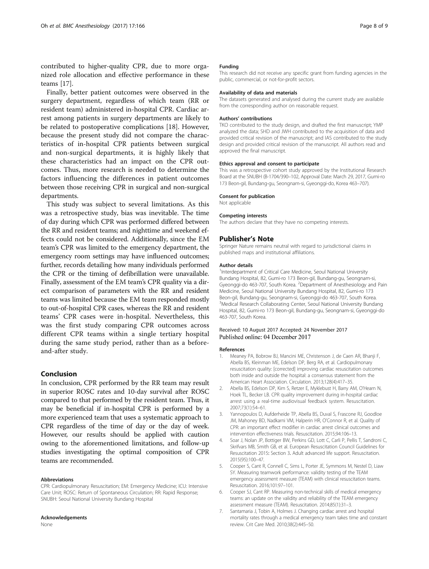<span id="page-7-0"></span>contributed to higher-quality CPR, due to more organized role allocation and effective performance in these teams [[17\]](#page-8-0).

Finally, better patient outcomes were observed in the surgery department, regardless of which team (RR or resident team) administered in-hospital CPR. Cardiac arrest among patients in surgery departments are likely to be related to postoperative complications [[18\]](#page-8-0). However, because the present study did not compare the characteristics of in-hospital CPR patients between surgical and non-surgical departments, it is highly likely that these characteristics had an impact on the CPR outcomes. Thus, more research is needed to determine the factors influencing the differences in patient outcomes between those receiving CPR in surgical and non-surgical departments.

This study was subject to several limitations. As this was a retrospective study, bias was inevitable. The time of day during which CPR was performed differed between the RR and resident teams; and nighttime and weekend effects could not be considered. Additionally, since the EM team's CPR was limited to the emergency department, the emergency room settings may have influenced outcomes; further, records detailing how many individuals performed the CPR or the timing of defibrillation were unavailable. Finally, assessment of the EM team's CPR quality via a direct comparison of parameters with the RR and resident teams was limited because the EM team responded mostly to out-of-hospital CPR cases, whereas the RR and resident teams' CPR cases were in-hospital. Nevertheless, this was the first study comparing CPR outcomes across different CPR teams within a single tertiary hospital during the same study period, rather than as a beforeand-after study.

## Conclusion

In conclusion, CPR performed by the RR team may result in superior ROSC rates and 10-day survival after ROSC compared to that performed by the resident team. Thus, it may be beneficial if in-hospital CPR is performed by a more experienced team that uses a systematic approach to CPR regardless of the time of day or the day of week. However, our results should be applied with caution owing to the aforementioned limitations, and follow-up studies investigating the optimal composition of CPR teams are recommended.

#### Abbreviations

CPR: Cardiopulmonary Resuscitation; EM: Emergency Medicine; ICU: Intensive Care Unit; ROSC: Return of Spontaneous Circulation; RR: Rapid Response; SNUBH: Seoul National University Bundang Hospital

#### Acknowledgements

None

#### Funding

This research did not receive any specific grant from funding agencies in the public, commercial, or not-for-profit sectors.

#### Availability of data and materials

The datasets generated and analysed during the current study are available from the corresponding author on reasonable request.

#### Authors' contributions

TKO contributed to the study design, and drafted the first manuscript; YMP analyzed the data; SHD and JWH contributed to the acquisition of data and provided critical revision of the manuscript; and IAS contributed to the study design and provided critical revision of the manuscript. All authors read and approved the final manuscript.

#### Ethics approval and consent to participate

This was a retrospective cohort study approved by the Institutional Research Board at the SNUBH (B-1704/390–102, Approval Date: March 29, 2017, Gumi-ro 173 Beon-gil, Bundang-gu, Seongnam-si, Gyeonggi-do, Korea 463–707).

#### Consent for publication

Not applicable

#### Competing interests

The authors declare that they have no competing interests.

#### Publisher's Note

Springer Nature remains neutral with regard to jurisdictional claims in published maps and institutional affiliations.

#### Author details

<sup>1</sup>Interdepartment of Critical Care Medicine, Seoul National University Bundang Hospital, 82, Gumi-ro 173 Beon-gil, Bundang-gu, Seongnam-si, Gyeonggi-do 463-707, South Korea. <sup>2</sup>Department of Anesthesiology and Pain Medicine, Seoul National University Bundang Hospital, 82, Gumi-ro 173 Beon-gil, Bundang-gu, Seongnam-si, Gyeonggi-do 463-707, South Korea. <sup>3</sup>Medical Research Collaborating Center, Seoul National University Bundang Hospital, 82, Gumi-ro 173 Beon-gil, Bundang-gu, Seongnam-si, Gyeonggi-do 463-707, South Korea.

## Received: 10 August 2017 Accepted: 24 November 2017 Published online: 04 December 2017

#### References

- 1. Meaney PA, Bobrow BJ, Mancini ME, Christenson J, de Caen AR, Bhanji F, Abella BS, Kleinman ME, Edelson DP, Berg RA, et al. Cardiopulmonary resuscitation quality: [corrected] improving cardiac resuscitation outcomes both inside and outside the hospital: a consensus statement from the American Heart Association. Circulation. 2013;128(4):417–35.
- 2. Abella BS, Edelson DP, Kim S, Retzer E, Myklebust H, Barry AM, O'Hearn N, Hoek TL, Becker LB. CPR quality improvement during in-hospital cardiac arrest using a real-time audiovisual feedback system. Resuscitation. 2007;73(1):54–61.
- 3. Yannopoulos D, Aufderheide TP, Abella BS, Duval S, Frascone RJ, Goodloe JM, Mahoney BD, Nadkarni VM, Halperin HR, O'Connor R, et al. Quality of CPR: an important effect modifier in cardiac arrest clinical outcomes and intervention effectiveness trials. Resuscitation. 2015;94:106–13.
- 4. Soar J, Nolan JP, Bottiger BW, Perkins GD, Lott C, Carli P, Pellis T, Sandroni C, Skrifvars MB, Smith GB, et al. European Resuscitation Council Guidelines for Resuscitation 2015: Section 3. Adult advanced life support. Resuscitation. 2015(95):100–47.
- 5. Cooper S, Cant R, Connell C, Sims L, Porter JE, Symmons M, Nestel D, Liaw SY. Measuring teamwork performance: validity testing of the TEAM emergency assessment measure (TEAM) with clinical resuscitation teams. Resuscitation. 2016;101:97–101.
- 6. Cooper SJ, Cant RP. Measuring non-technical skills of medical emergency teams: an update on the validity and reliability of the TEAM emergency assessment measure (TEAM). Resuscitation. 2014;85(1):31–3.
- 7. Santamaria J, Tobin A, Holmes J. Changing cardiac arrest and hospital mortality rates through a medical emergency team takes time and constant review. Crit Care Med. 2010;38(2):445–50.